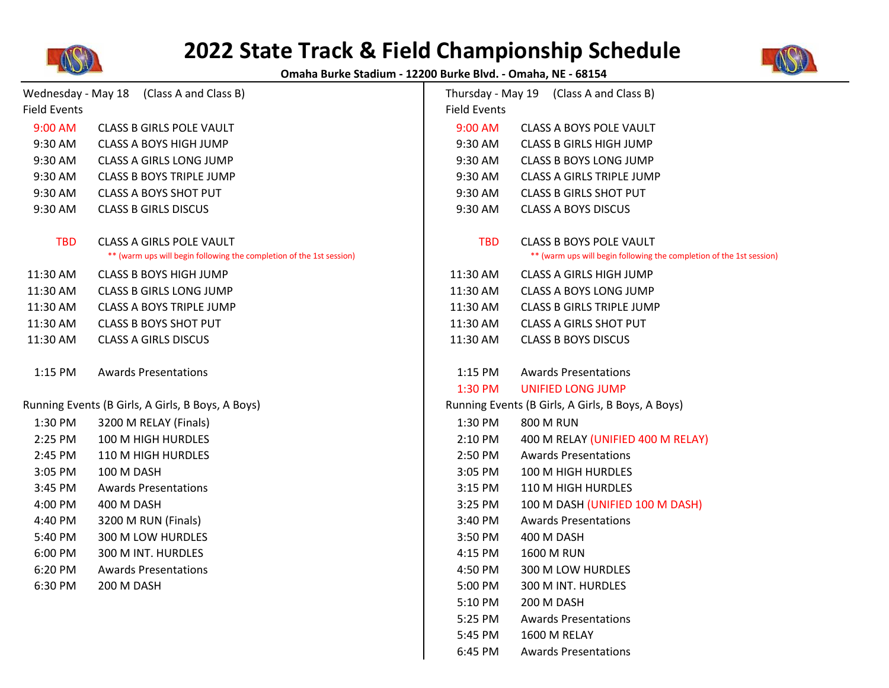

## **2022 State Track & Field Championship Schedule**



**Omaha Burke Stadium - 12200 Burke Blvd. - Omaha, NE - 68154**

| Wednesday - May 18 (Class A and Class B)          |                                                                                                  |                     | Thursday - May 19 (Class A and Class B)                                                                |  |
|---------------------------------------------------|--------------------------------------------------------------------------------------------------|---------------------|--------------------------------------------------------------------------------------------------------|--|
| <b>Field Events</b>                               |                                                                                                  | <b>Field Events</b> |                                                                                                        |  |
| 9:00 AM                                           | <b>CLASS B GIRLS POLE VAULT</b>                                                                  | 9:00 AM             | CLASS A BOYS POLE VAULT                                                                                |  |
| 9:30 AM                                           | <b>CLASS A BOYS HIGH JUMP</b>                                                                    | 9:30 AM             | <b>CLASS B GIRLS HIGH JUMP</b>                                                                         |  |
| 9:30 AM                                           | <b>CLASS A GIRLS LONG JUMP</b>                                                                   | 9:30 AM             | <b>CLASS B BOYS LONG JUMP</b>                                                                          |  |
| 9:30 AM                                           | <b>CLASS B BOYS TRIPLE JUMP</b>                                                                  | 9:30 AM             | CLASS A GIRLS TRIPLE JUMP                                                                              |  |
| 9:30 AM                                           | <b>CLASS A BOYS SHOT PUT</b>                                                                     | 9:30 AM             | <b>CLASS B GIRLS SHOT PUT</b>                                                                          |  |
| 9:30 AM                                           | <b>CLASS B GIRLS DISCUS</b>                                                                      | 9:30 AM             | <b>CLASS A BOYS DISCUS</b>                                                                             |  |
| <b>TBD</b>                                        | CLASS A GIRLS POLE VAULT<br>** (warm ups will begin following the completion of the 1st session) | <b>TBD</b>          | <b>CLASS B BOYS POLE VAULT</b><br>** (warm ups will begin following the completion of the 1st session) |  |
| 11:30 AM                                          | <b>CLASS B BOYS HIGH JUMP</b>                                                                    | 11:30 AM            | <b>CLASS A GIRLS HIGH JUMP</b>                                                                         |  |
| 11:30 AM                                          | <b>CLASS B GIRLS LONG JUMP</b>                                                                   | 11:30 AM            | <b>CLASS A BOYS LONG JUMP</b>                                                                          |  |
| 11:30 AM                                          | CLASS A BOYS TRIPLE JUMP                                                                         | 11:30 AM            | <b>CLASS B GIRLS TRIPLE JUMP</b>                                                                       |  |
| 11:30 AM                                          | <b>CLASS B BOYS SHOT PUT</b>                                                                     | 11:30 AM            | <b>CLASS A GIRLS SHOT PUT</b>                                                                          |  |
| 11:30 AM                                          | <b>CLASS A GIRLS DISCUS</b>                                                                      | 11:30 AM            | <b>CLASS B BOYS DISCUS</b>                                                                             |  |
| 1:15 PM                                           | <b>Awards Presentations</b>                                                                      | 1:15 PM             | <b>Awards Presentations</b>                                                                            |  |
|                                                   |                                                                                                  | 1:30 PM             | <b>UNIFIED LONG JUMP</b>                                                                               |  |
| Running Events (B Girls, A Girls, B Boys, A Boys) |                                                                                                  |                     | Running Events (B Girls, A Girls, B Boys, A Boys)                                                      |  |
| 1:30 PM                                           | 3200 M RELAY (Finals)                                                                            | 1:30 PM             | <b>800 M RUN</b>                                                                                       |  |
| 2:25 PM                                           | 100 M HIGH HURDLES                                                                               | 2:10 PM             | 400 M RELAY (UNIFIED 400 M RELAY)                                                                      |  |
| 2:45 PM                                           | 110 M HIGH HURDLES                                                                               | 2:50 PM             | <b>Awards Presentations</b>                                                                            |  |
| 3:05 PM                                           | 100 M DASH                                                                                       | 3:05 PM             | 100 M HIGH HURDLES                                                                                     |  |
| 3:45 PM                                           | <b>Awards Presentations</b>                                                                      | 3:15 PM             | 110 M HIGH HURDLES                                                                                     |  |
| 4:00 PM                                           | 400 M DASH                                                                                       | 3:25 PM             | 100 M DASH (UNIFIED 100 M DASH)                                                                        |  |
| 4:40 PM                                           | 3200 M RUN (Finals)                                                                              | 3:40 PM             | <b>Awards Presentations</b>                                                                            |  |
| 5:40 PM                                           | 300 M LOW HURDLES                                                                                | 3:50 PM             | 400 M DASH                                                                                             |  |
| 6:00 PM                                           | 300 M INT. HURDLES                                                                               | 4:15 PM             | <b>1600 M RUN</b>                                                                                      |  |
| 6:20 PM                                           | <b>Awards Presentations</b>                                                                      | 4:50 PM             | 300 M LOW HURDLES                                                                                      |  |
| 6:30 PM                                           | 200 M DASH                                                                                       | 5:00 PM             | 300 M INT. HURDLES                                                                                     |  |
|                                                   |                                                                                                  | 5:10 PM             | 200 M DASH                                                                                             |  |
|                                                   |                                                                                                  | 5:25 PM             | <b>Awards Presentations</b>                                                                            |  |
|                                                   |                                                                                                  | 5:45 PM             | 1600 M RELAY                                                                                           |  |
|                                                   |                                                                                                  | 6:45 PM             | <b>Awards Presentations</b>                                                                            |  |